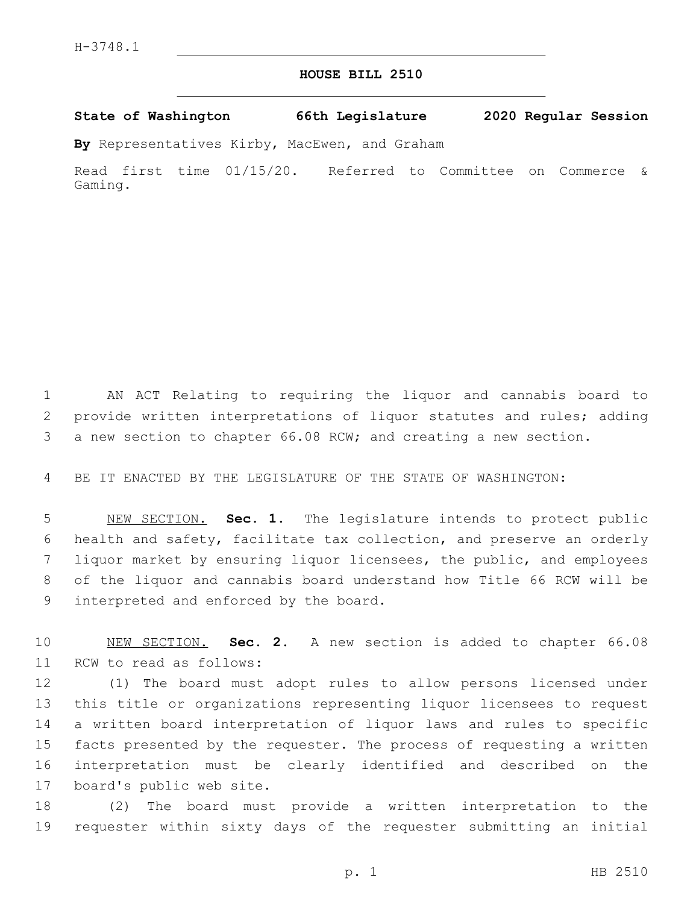## **HOUSE BILL 2510**

**State of Washington 66th Legislature 2020 Regular Session**

**By** Representatives Kirby, MacEwen, and Graham

Read first time 01/15/20. Referred to Committee on Commerce & Gaming.

 AN ACT Relating to requiring the liquor and cannabis board to provide written interpretations of liquor statutes and rules; adding a new section to chapter 66.08 RCW; and creating a new section.

BE IT ENACTED BY THE LEGISLATURE OF THE STATE OF WASHINGTON:

 NEW SECTION. **Sec. 1.** The legislature intends to protect public health and safety, facilitate tax collection, and preserve an orderly liquor market by ensuring liquor licensees, the public, and employees of the liquor and cannabis board understand how Title 66 RCW will be interpreted and enforced by the board.

 NEW SECTION. **Sec. 2.** A new section is added to chapter 66.08 11 RCW to read as follows:

 (1) The board must adopt rules to allow persons licensed under this title or organizations representing liquor licensees to request a written board interpretation of liquor laws and rules to specific facts presented by the requester. The process of requesting a written interpretation must be clearly identified and described on the 17 board's public web site.

 (2) The board must provide a written interpretation to the requester within sixty days of the requester submitting an initial